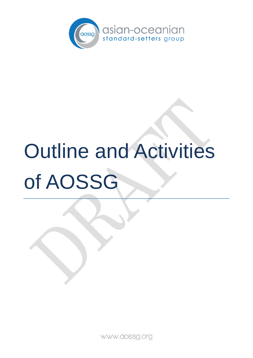

# Outline and Activities of AOSSG

WWW.aossg.org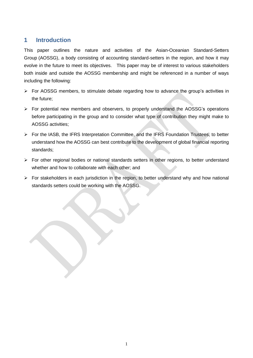#### **1 Introduction**

This paper outlines the nature and activities of the Asian-Oceanian Standard-Setters Group (AOSSG), a body consisting of accounting standard-setters in the region, and how it may evolve in the future to meet its objectives. This paper may be of interest to various stakeholders both inside and outside the AOSSG membership and might be referenced in a number of ways including the following:

- For AOSSG members, to stimulate debate regarding how to advance the group's activities in the future;
- $\triangleright$  For potential new members and observers, to properly understand the AOSSG's operations before participating in the group and to consider what type of contribution they might make to AOSSG activities;
- For the IASB, the IFRS Interpretation Committee, and the IFRS Foundation Trustees, to better understand how the AOSSG can best contribute to the development of global financial reporting standards;
- $\triangleright$  For other regional bodies or national standards setters in other regions, to better understand whether and how to collaborate with each other; and
- $\triangleright$  For stakeholders in each jurisdiction in the region, to better understand why and how national standards setters could be working with the AOSSG.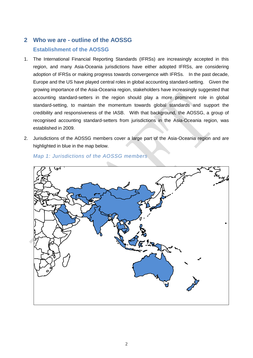## **2 Who we are - outline of the AOSSG Establishment of the AOSSG**

- 1. The International Financial Reporting Standards (IFRSs) are increasingly accepted in this region, and many Asia-Oceania jurisdictions have either adopted IFRSs, are considering adoption of IFRSs or making progress towards convergence with IFRSs. In the past decade, Europe and the US have played central roles in global accounting standard-setting. Given the growing importance of the Asia-Oceania region, stakeholders have increasingly suggested that accounting standard-setters in the region should play a more prominent role in global standard-setting, to maintain the momentum towards global standards and support the credibility and responsiveness of the IASB. With that background, the AOSSG, a group of recognised accounting standard-setters from jurisdictions in the Asia-Oceania region, was established in 2009.
- 2. Jurisdictions of the AOSSG members cover a large part of the Asia-Oceania region and are highlighted in blue in the map below.



*Map 1: Jurisdictions of the AOSSG members*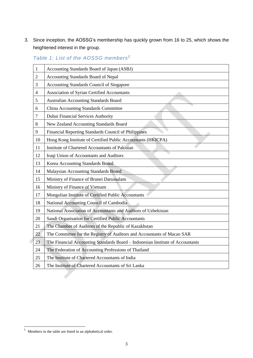3. Since inception, the AOSSG's membership has quickly grown from 16 to 25, which shows the heightened interest in the group.

| 1              | Accounting Standards Board of Japan (ASBJ)                                     |
|----------------|--------------------------------------------------------------------------------|
| $\overline{2}$ | Accounting Standards Board of Nepal                                            |
| 3              | Accounting Standards Council of Singapore                                      |
| $\overline{4}$ | Association of Syrian Certified Accountants                                    |
| 5              | <b>Australian Accounting Standards Board</b>                                   |
| 6              | China Accounting Standards Committee                                           |
| 7              | Dubai Financial Services Authority                                             |
| 8              | New Zealand Accounting Standards Board                                         |
| 9              | Financial Reporting Standards Council of Philippines                           |
| 10             | Hong Kong Institute of Certified Public Accountants (HKICPA)                   |
| 11             | <b>Institute of Chartered Accountants of Pakistan</b>                          |
| 12             | Iraqi Union of Accountants and Auditors                                        |
| 13             | Korea Accounting Standards Board                                               |
| 14             | Malaysian Accounting Standards Board                                           |
| 15             | Ministry of Finance of Brunei Darussalam                                       |
| 16             | Ministry of Finance of Vietnam                                                 |
| 17             | Mongolian Institute of Certified Public Accountants                            |
| 18             | National Accounting Council of Cambodia                                        |
| 19             | National Association of Accountants and Auditors of Uzbekistan                 |
| 20             | Saudi Organisation for Certified Public Accountants                            |
| 21             | The Chamber of Auditors of the Republic of Kazakhstan                          |
| 22             | The Committee for the Registry of Auditors and Accountants of Macao SAR        |
| 23             | The Financial Accounting Standards Board - Indonesian Institute of Accountants |
| 24             | The Federation of Accounting Professions of Thailand                           |
| 25             | The Institute of Chartered Accountants of India                                |
| 26             | The Institute of Chartered Accountants of Sri Lanka                            |

*Table 1: List of the AOSSG members<sup>1</sup>*

 $\overline{a}$ 

Members in the table are listed in an alphabetical order.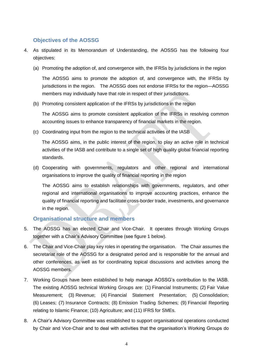#### **Objectives of the AOSSG**

- 4. As stipulated in its Memorandum of Understanding, the AOSSG has the following four objectives:
	- (a) Promoting the adoption of, and convergence with, the IFRSs by jurisdictions in the region

The AOSSG aims to promote the adoption of, and convergence with, the IFRSs by jurisdictions in the region. The AOSSG does not endorse IFRSs for the region—AOSSG members may individually have that role in respect of their jurisdictions.

(b) Promoting consistent application of the IFRSs by jurisdictions in the region

The AOSSG aims to promote consistent application of the IFRSs in resolving common accounting issues to enhance transparency of financial markets in the region.

(c) Coordinating input from the region to the technical activities of the IASB

The AOSSG aims, in the public interest of the region, to play an active role in technical activities of the IASB and contribute to a single set of high quality global financial reporting standards.

(d) Cooperating with governments, regulators and other regional and international organisations to improve the quality of financial reporting in the region

The AOSSG aims to establish relationships with governments, regulators, and other regional and international organisations to improve accounting practices, enhance the quality of financial reporting and facilitate cross-border trade, investments, and governance in the region.

#### **Organisational structure and members**

- 5. The AOSSG has an elected Chair and Vice-Chair. It operates through Working Groups together with a Chair's Advisory Committee (see figure 1 below).
- 6. The Chair and Vice-Chair play key roles in operating the organisation. The Chair assumes the secretariat role of the AOSSG for a designated period and is responsible for the annual and other conferences, as well as for coordinating topical discussions and activities among the AOSSG members.
- 7. Working Groups have been established to help manage AOSSG's contribution to the IASB. The existing AOSSG technical Working Groups are: (1) Financial Instruments; (2) Fair Value Measurement; (3) Revenue; (4) Financial Statement Presentation; (5) Consolidation; (6) Leases; (7) Insurance Contracts; (8) Emission Trading Schemes; (9) Financial Reporting relating to Islamic Finance; (10) Agriculture; and (11) IFRS for SMEs.
- 8. A Chair's Advisory Committee was established to support organisational operations conducted by Chair and Vice-Chair and to deal with activities that the organisation's Working Groups do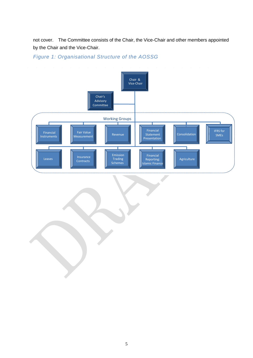not cover. The Committee consists of the Chair, the Vice-Chair and other members appointed by the Chair and the Vice-Chair.

## *Figure 1: Organisational Structure of the AOSSG*

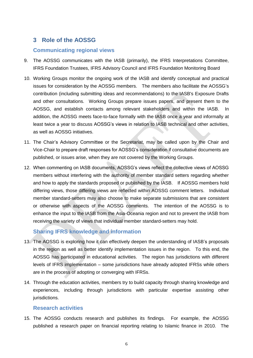### **3 Role of the AOSSG**

#### **Communicating regional views**

- 9. The AOSSG communicates with the IASB (primarily), the IFRS Interpretations Committee, IFRS Foundation Trustees, IFRS Advisory Council and IFRS Foundation Monitoring Board
- 10. Working Groups monitor the ongoing work of the IASB and identify conceptual and practical issues for consideration by the AOSSG members. The members also facilitate the AOSSG's contribution (including submitting ideas and recommendations) to the IASB's Exposure Drafts and other consultations. Working Groups prepare issues papers, and present them to the AOSSG, and establish contacts among relevant stakeholders and within the IASB. In addition, the AOSSG meets face-to-face formally with the IASB once a year and informally at least twice a year to discuss AOSSG's views in relation to IASB technical and other activities, as well as AOSSG initiatives.
- 11. The Chair's Advisory Committee or the Secretariat, may be called upon by the Chair and Vice-Chair to prepare draft responses for AOSSG's consideration if consultative documents are published, or issues arise, when they are not covered by the Working Groups.
- 12. When commenting on IASB documents, AOSSG's views reflect the collective views of AOSSG members without interfering with the authority of member standard setters regarding whether and how to apply the standards proposed or published by the IASB. If AOSSG members hold differing views, those differing views are reflected within AOSSG comment letters. Individual member standard-setters may also choose to make separate submissions that are consistent or otherwise with aspects of the AOSSG comments. The intention of the AOSSG is to enhance the input to the IASB from the Asia-Oceania region and not to prevent the IASB from receiving the variety of views that individual member standard-setters may hold.

#### **Sharing IFRS knowledge and information**

- 13. The AOSSG is exploring how it can effectively deepen the understanding of IASB's proposals in the region as well as better identify implementation issues in the region. To this end, the AOSSG has participated in educational activities. The region has jurisdictions with different levels of IFRS implementation – some jurisdictions have already adopted IFRSs while others are in the process of adopting or converging with IFRSs.
- 14. Through the education activities, members try to build capacity through sharing knowledge and experiences, including through jurisdictions with particular expertise assisting other jurisdictions.

#### **Research activities**

15. The AOSSG conducts research and publishes its findings. For example, the AOSSG published a research paper on financial reporting relating to Islamic finance in 2010. The